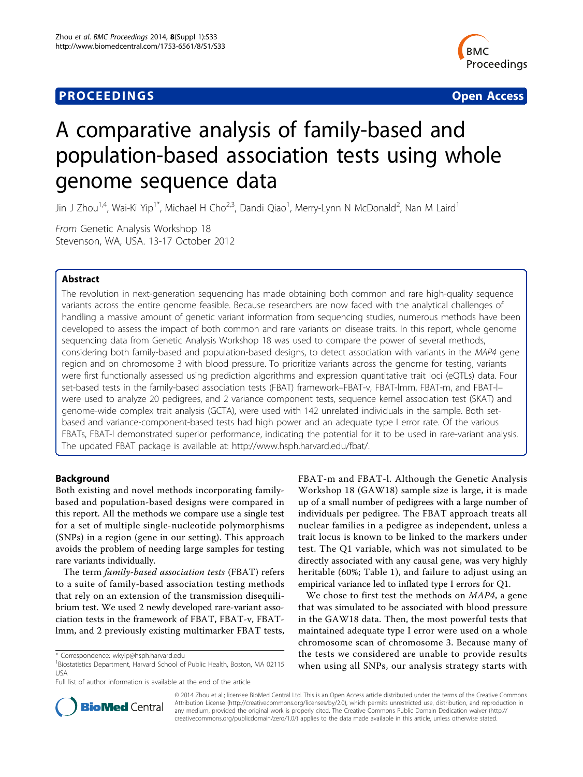# **PROCEEDINGS SECURE 2018 12:00 SECURE 2018 12:00 SECURE 2019 12:00 SECURE 2019 12:00 SECURE 2019 12:00 SECURE 30 SECURE 2019 12:00 SECURE 2019 12:00 SECURE 2019 12:00 SECURE 2019 12:00 SECURE 2019 12:00 SECURE 2019 12:00**



# A comparative analysis of family-based and population-based association tests using whole genome sequence data

Jin J Zhou<sup>1,4</sup>, Wai-Ki Yip<sup>1\*</sup>, Michael H Cho<sup>2,3</sup>, Dandi Qiao<sup>1</sup>, Merry-Lynn N McDonald<sup>2</sup>, Nan M Laird<sup>1</sup>

From Genetic Analysis Workshop 18 Stevenson, WA, USA. 13-17 October 2012

# Abstract

The revolution in next-generation sequencing has made obtaining both common and rare high-quality sequence variants across the entire genome feasible. Because researchers are now faced with the analytical challenges of handling a massive amount of genetic variant information from sequencing studies, numerous methods have been developed to assess the impact of both common and rare variants on disease traits. In this report, whole genome sequencing data from Genetic Analysis Workshop 18 was used to compare the power of several methods, considering both family-based and population-based designs, to detect association with variants in the MAP4 gene region and on chromosome 3 with blood pressure. To prioritize variants across the genome for testing, variants were first functionally assessed using prediction algorithms and expression quantitative trait loci (eQTLs) data. Four set-based tests in the family-based association tests (FBAT) framework–FBAT-v, FBAT-lmm, FBAT-m, and FBAT-l– were used to analyze 20 pedigrees, and 2 variance component tests, sequence kernel association test (SKAT) and genome-wide complex trait analysis (GCTA), were used with 142 unrelated individuals in the sample. Both setbased and variance-component-based tests had high power and an adequate type I error rate. Of the various FBATs, FBAT-l demonstrated superior performance, indicating the potential for it to be used in rare-variant analysis. The updated FBAT package is available at:<http://www.hsph.harvard.edu/fbat/>.

# Background

Both existing and novel methods incorporating familybased and population-based designs were compared in this report. All the methods we compare use a single test for a set of multiple single-nucleotide polymorphisms (SNPs) in a region (gene in our setting). This approach avoids the problem of needing large samples for testing rare variants individually.

The term family-based association tests (FBAT) refers to a suite of family-based association testing methods that rely on an extension of the transmission disequilibrium test. We used 2 newly developed rare-variant association tests in the framework of FBAT, FBAT-v, FBATlmm, and 2 previously existing multimarker FBAT tests, FBAT-m and FBAT-l. Although the Genetic Analysis Workshop 18 (GAW18) sample size is large, it is made up of a small number of pedigrees with a large number of individuals per pedigree. The FBAT approach treats all nuclear families in a pedigree as independent, unless a trait locus is known to be linked to the markers under test. The Q1 variable, which was not simulated to be directly associated with any causal gene, was very highly heritable (60%; Table [1\)](#page-1-0), and failure to adjust using an empirical variance led to inflated type I errors for Q1.

We chose to first test the methods on *MAP4*, a gene that was simulated to be associated with blood pressure in the GAW18 data. Then, the most powerful tests that maintained adequate type I error were used on a whole chromosome scan of chromosome 3. Because many of the tests we considered are unable to provide results when using all SNPs, our analysis strategy starts with



© 2014 Zhou et al.; licensee BioMed Central Ltd. This is an Open Access article distributed under the terms of the Creative Commons Attribution License [\(http://creativecommons.org/licenses/by/2.0](http://creativecommons.org/licenses/by/2.0)), which permits unrestricted use, distribution, and reproduction in any medium, provided the original work is properly cited. The Creative Commons Public Domain Dedication waiver [\(http://](http://creativecommons.org/publicdomain/zero/1.0/) [creativecommons.org/publicdomain/zero/1.0/](http://creativecommons.org/publicdomain/zero/1.0/)) applies to the data made available in this article, unless otherwise stated.

<sup>\*</sup> Correspondence: [wkyip@hsph.harvard.edu](mailto:wkyip@hsph.harvard.edu)

<sup>&</sup>lt;sup>1</sup> Biostatistics Department, Harvard School of Public Health, Boston, MA 02115 USA

Full list of author information is available at the end of the article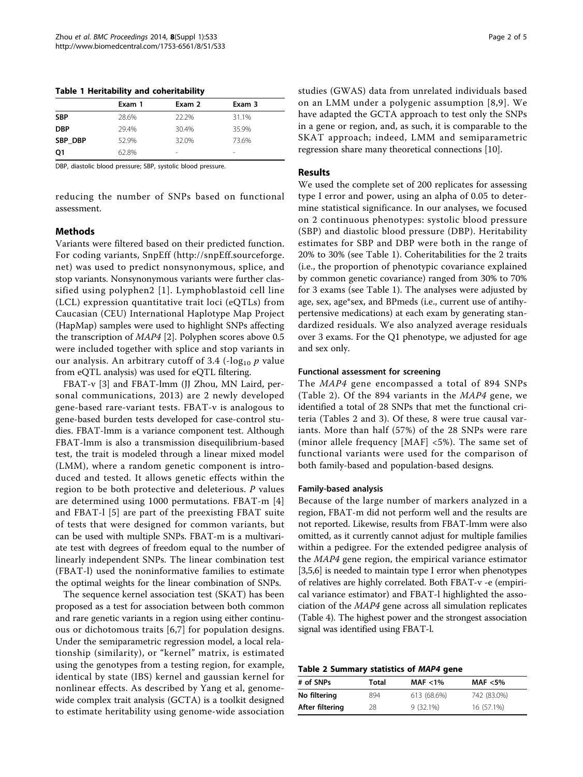<span id="page-1-0"></span>Table 1 Heritability and coheritability

|            | Exam 1 | Exam 2                   | Exam 3                   |  |
|------------|--------|--------------------------|--------------------------|--|
| <b>SBP</b> | 28.6%  | 22.2%                    | 31.1%                    |  |
| <b>DBP</b> | 29.4%  | 30.4%                    | 35.9%                    |  |
| SBP DBP    | 52.9%  | 32.0%                    | 73.6%                    |  |
| O1         | 62.8%  | $\overline{\phantom{a}}$ | $\overline{\phantom{a}}$ |  |

DBP, diastolic blood pressure; SBP, systolic blood pressure.

reducing the number of SNPs based on functional assessment.

# **Methods**

Variants were filtered based on their predicted function. For coding variants, SnpEff ([http://snpEff.sourceforge.](http://snpEff.sourceforge.net) [net\)](http://snpEff.sourceforge.net) was used to predict nonsynonymous, splice, and stop variants. Nonsynonymous variants were further classified using polyphen2 [[1](#page-4-0)]. Lymphoblastoid cell line (LCL) expression quantitative trait loci (eQTLs) from Caucasian (CEU) International Haplotype Map Project (HapMap) samples were used to highlight SNPs affecting the transcription of MAP4 [\[2](#page-4-0)]. Polyphen scores above 0.5 were included together with splice and stop variants in our analysis. An arbitrary cutoff of 3.4 ( $-log_{10}$  p value from eQTL analysis) was used for eQTL filtering.

FBAT-v [\[3](#page-4-0)] and FBAT-lmm (JJ Zhou, MN Laird, personal communications, 2013) are 2 newly developed gene-based rare-variant tests. FBAT-v is analogous to gene-based burden tests developed for case-control studies. FBAT-lmm is a variance component test. Although FBAT-lmm is also a transmission disequilibrium-based test, the trait is modeled through a linear mixed model (LMM), where a random genetic component is introduced and tested. It allows genetic effects within the region to be both protective and deleterious. P values are determined using 1000 permutations. FBAT-m [\[4](#page-4-0)] and FBAT-l [[5](#page-4-0)] are part of the preexisting FBAT suite of tests that were designed for common variants, but can be used with multiple SNPs. FBAT-m is a multivariate test with degrees of freedom equal to the number of linearly independent SNPs. The linear combination test (FBAT-l) used the noninformative families to estimate the optimal weights for the linear combination of SNPs.

The sequence kernel association test (SKAT) has been proposed as a test for association between both common and rare genetic variants in a region using either continuous or dichotomous traits [[6,7](#page-4-0)] for population designs. Under the semiparametric regression model, a local relationship (similarity), or "kernel" matrix, is estimated using the genotypes from a testing region, for example, identical by state (IBS) kernel and gaussian kernel for nonlinear effects. As described by Yang et al, genomewide complex trait analysis (GCTA) is a toolkit designed to estimate heritability using genome-wide association studies (GWAS) data from unrelated individuals based on an LMM under a polygenic assumption [[8,9\]](#page-4-0). We have adapted the GCTA approach to test only the SNPs in a gene or region, and, as such, it is comparable to the SKAT approach; indeed, LMM and semiparametric regression share many theoretical connections [\[10](#page-4-0)].

### Results

We used the complete set of 200 replicates for assessing type I error and power, using an alpha of 0.05 to determine statistical significance. In our analyses, we focused on 2 continuous phenotypes: systolic blood pressure (SBP) and diastolic blood pressure (DBP). Heritability estimates for SBP and DBP were both in the range of 20% to 30% (see Table 1). Coheritabilities for the 2 traits (i.e., the proportion of phenotypic covariance explained by common genetic covariance) ranged from 30% to 70% for 3 exams (see Table 1). The analyses were adjusted by age, sex, age\*sex, and BPmeds (i.e., current use of antihypertensive medications) at each exam by generating standardized residuals. We also analyzed average residuals over 3 exams. For the Q1 phenotype, we adjusted for age and sex only.

#### Functional assessment for screening

The MAP4 gene encompassed a total of 894 SNPs (Table 2). Of the 894 variants in the MAP4 gene, we identified a total of 28 SNPs that met the functional criteria (Tables 2 and [3](#page-2-0)). Of these, 8 were true causal variants. More than half (57%) of the 28 SNPs were rare (minor allele frequency [MAF] <5%). The same set of functional variants were used for the comparison of both family-based and population-based designs.

#### Family-based analysis

Because of the large number of markers analyzed in a region, FBAT-m did not perform well and the results are not reported. Likewise, results from FBAT-lmm were also omitted, as it currently cannot adjust for multiple families within a pedigree. For the extended pedigree analysis of the MAP4 gene region, the empirical variance estimator [[3,5,6](#page-4-0)] is needed to maintain type I error when phenotypes of relatives are highly correlated. Both FBAT-v -e (empirical variance estimator) and FBAT-l highlighted the association of the MAP4 gene across all simulation replicates (Table [4\)](#page-2-0). The highest power and the strongest association signal was identified using FBAT-l.

| Table 2 Summary statistics of MAP4 gene |  |  |  |  |
|-----------------------------------------|--|--|--|--|
|-----------------------------------------|--|--|--|--|

| # of SNPs       | Total | MAF $<$ 1%  | MAF $<$ 5%  |
|-----------------|-------|-------------|-------------|
| No filtering    | 894   | 613 (68.6%) | 742 (83.0%) |
| After filtering | 28    | $9(32.1\%)$ | 16 (57.1%)  |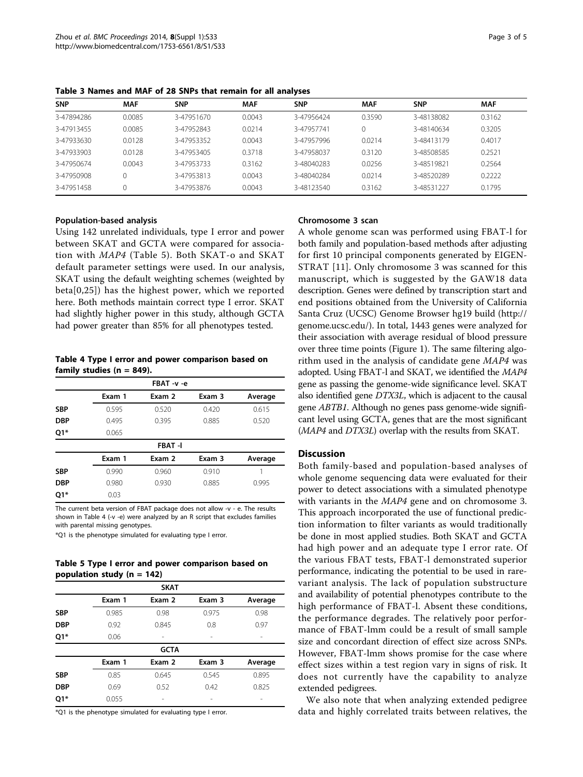| <b>SNP</b> | <b>MAF</b> | <b>SNP</b> | <b>MAF</b> | <b>SNP</b> | <b>MAF</b> | <b>SNP</b> | <b>MAF</b> |
|------------|------------|------------|------------|------------|------------|------------|------------|
| 3-47894286 | 0.0085     | 3-47951670 | 0.0043     | 3-47956424 | 0.3590     | 3-48138082 | 0.3162     |
| 3-47913455 | 0.0085     | 3-47952843 | 0.0214     | 3-47957741 |            | 3-48140634 | 0.3205     |
| 3-47933630 | 0.0128     | 3-47953352 | 0.0043     | 3-47957996 | 0.0214     | 3-48413179 | 0.4017     |
| 3-47933903 | 0.0128     | 3-47953405 | 0.3718     | 3-47958037 | 0.3120     | 3-48508585 | 0.2521     |
| 3-47950674 | 0.0043     | 3-47953733 | 0.3162     | 3-48040283 | 0.0256     | 3-48519821 | 0.2564     |
| 3-47950908 |            | 3-47953813 | 0.0043     | 3-48040284 | 0.0214     | 3-48520289 | 0.2222     |
| 3-47951458 |            | 3-47953876 | 0.0043     | 3-48123540 | 0.3162     | 3-48531227 | 0.1795     |

<span id="page-2-0"></span>Table 3 Names and MAF of 28 SNPs that remain for all analyses

# Population-based analysis

Using 142 unrelated individuals, type I error and power between SKAT and GCTA were compared for association with MAP4 (Table 5). Both SKAT-o and SKAT default parameter settings were used. In our analysis, SKAT using the default weighting schemes (weighted by beta[0,25]) has the highest power, which we reported here. Both methods maintain correct type I error. SKAT had slightly higher power in this study, although GCTA had power greater than 85% for all phenotypes tested.

Table 4 Type I error and power comparison based on family studies ( $n = 849$ ).

|            |        | FBAT -v -e    |        |         |
|------------|--------|---------------|--------|---------|
|            | Exam 1 | Exam 2        | Exam 3 | Average |
| <b>SBP</b> | 0.595  | 0.520         | 0.420  | 0.615   |
| <b>DBP</b> | 0.495  | 0.395         | 0.885  | 0.520   |
| Q1*        | 0.065  |               |        |         |
|            |        | <b>FBAT-I</b> |        |         |
|            | Exam 1 | Exam 2        | Exam 3 | Average |
| <b>SBP</b> | 0.990  | 0.960         | 0.910  |         |
| <b>DBP</b> | 0.980  | 0.930         | 0.885  | 0.995   |
| Q1*        | 0.03   |               |        |         |

The current beta version of FBAT package does not allow -v - e. The results shown in Table 4 (-v -e) were analyzed by an R script that excludes families with parental missing genotypes.

\*Q1 is the phenotype simulated for evaluating type I error.

Table 5 Type I error and power comparison based on population study ( $n = 142$ )

| <b>SKAT</b> |        |             |        |         |  |
|-------------|--------|-------------|--------|---------|--|
|             | Exam 1 | Exam 2      | Exam 3 | Average |  |
| <b>SBP</b>  | 0.985  | 0.98        | 0.975  | 0.98    |  |
| <b>DBP</b>  | 0.92   | 0.845       | 0.8    | 0.97    |  |
| Q1*         | 0.06   |             |        |         |  |
|             |        | <b>GCTA</b> |        |         |  |
|             | Exam 1 | Exam 2      | Exam 3 | Average |  |
| <b>SBP</b>  | 0.85   | 0.645       | 0.545  | 0.895   |  |
| <b>DBP</b>  | 0.69   | 0.52        | 0.42   | 0.825   |  |
| Q1*         | 0.055  |             |        |         |  |

\*Q1 is the phenotype simulated for evaluating type I error.

#### Chromosome 3 scan

A whole genome scan was performed using FBAT-l for both family and population-based methods after adjusting for first 10 principal components generated by EIGEN-STRAT [[11](#page-4-0)]. Only chromosome 3 was scanned for this manuscript, which is suggested by the GAW18 data description. Genes were defined by transcription start and end positions obtained from the University of California Santa Cruz (UCSC) Genome Browser hg19 build [\(http://](http://genome.ucsc.edu) [genome.ucsc.edu](http://genome.ucsc.edu)/). In total, 1443 genes were analyzed for their association with average residual of blood pressure over three time points (Figure [1\)](#page-3-0). The same filtering algorithm used in the analysis of candidate gene MAP4 was adopted. Using FBAT-l and SKAT, we identified the MAP4 gene as passing the genome-wide significance level. SKAT also identified gene DTX3L, which is adjacent to the causal gene ABTB1. Although no genes pass genome-wide significant level using GCTA, genes that are the most significant (MAP4 and DTX3L) overlap with the results from SKAT.

### **Discussion**

Both family-based and population-based analyses of whole genome sequencing data were evaluated for their power to detect associations with a simulated phenotype with variants in the MAP4 gene and on chromosome 3. This approach incorporated the use of functional prediction information to filter variants as would traditionally be done in most applied studies. Both SKAT and GCTA had high power and an adequate type I error rate. Of the various FBAT tests, FBAT-l demonstrated superior performance, indicating the potential to be used in rarevariant analysis. The lack of population substructure and availability of potential phenotypes contribute to the high performance of FBAT-l. Absent these conditions, the performance degrades. The relatively poor performance of FBAT-lmm could be a result of small sample size and concordant direction of effect size across SNPs. However, FBAT-lmm shows promise for the case where effect sizes within a test region vary in signs of risk. It does not currently have the capability to analyze extended pedigrees.

We also note that when analyzing extended pedigree data and highly correlated traits between relatives, the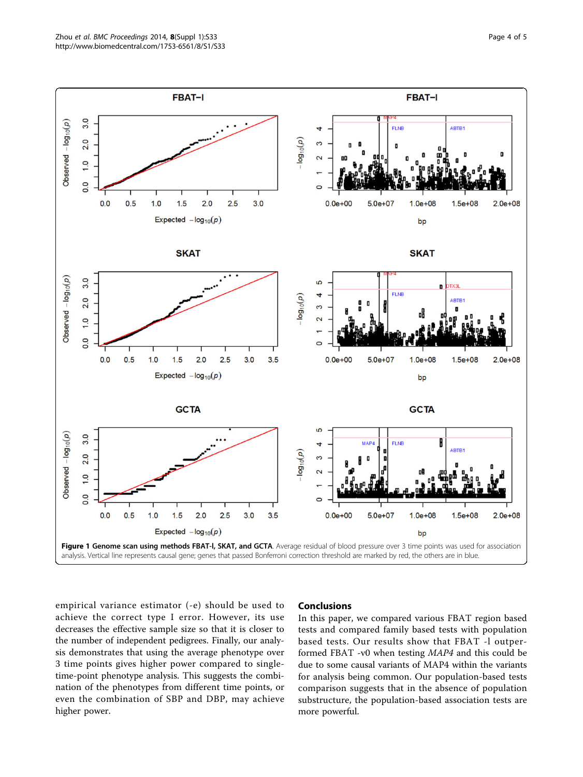empirical variance estimator (-e) should be used to achieve the correct type I error. However, its use decreases the effective sample size so that it is closer to the number of independent pedigrees. Finally, our analysis demonstrates that using the average phenotype over 3 time points gives higher power compared to singletime-point phenotype analysis. This suggests the combination of the phenotypes from different time points, or

even the combination of SBP and DBP, may achieve

higher power.

# Conclusions

In this paper, we compared various FBAT region based tests and compared family based tests with population based tests. Our results show that FBAT -l outperformed FBAT -v0 when testing MAP4 and this could be due to some causal variants of MAP4 within the variants for analysis being common. Our population-based tests comparison suggests that in the absence of population substructure, the population-based association tests are more powerful.

<span id="page-3-0"></span>